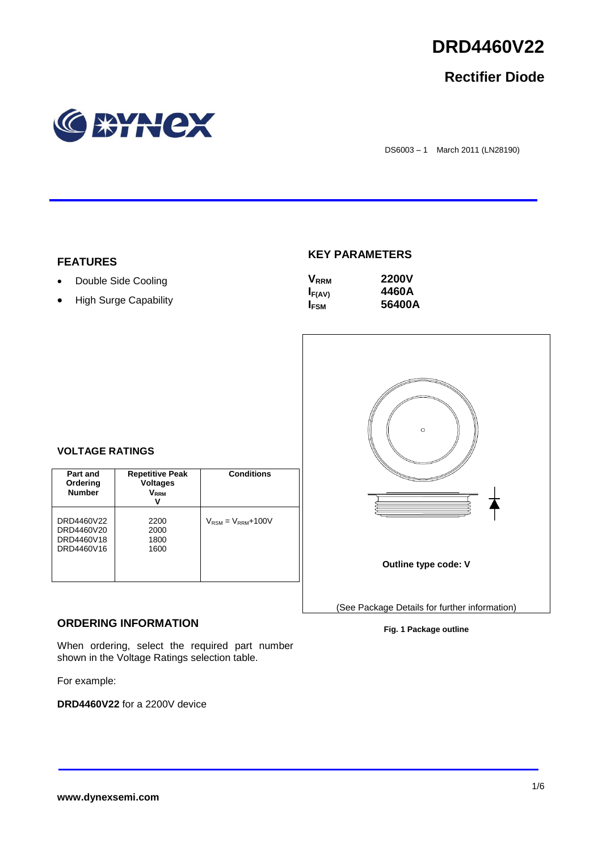

# **Rectifier Diode**



DS6003 – 1 March 2011 (LN28190)

#### **FEATURES**

- Double Side Cooling
- High Surge Capability

### **KEY PARAMETERS**

| <b>V</b> <sub>RRM</sub> | <b>2200V</b> |
|-------------------------|--------------|
| $I_{F(AV)}$             | 4460A        |
| <b>I</b> <sub>FSM</sub> | 56400A       |



### **VOLTAGE RATINGS**

| Part and<br>Ordering<br><b>Number</b>                | <b>Repetitive Peak</b><br><b>Voltages</b><br>$V_{\rm RRM}$<br>v | <b>Conditions</b>                        |
|------------------------------------------------------|-----------------------------------------------------------------|------------------------------------------|
| DRD4460V22<br>DRD4460V20<br>DRD4460V18<br>DRD4460V16 | 2200<br>2000<br>1800<br>1600                                    | $V_{\text{RSM}} = V_{\text{RRM}} + 100V$ |

#### **ORDERING INFORMATION**

When ordering, select the required part number shown in the Voltage Ratings selection table.

For example:

**DRD4460V22** for a 2200V device

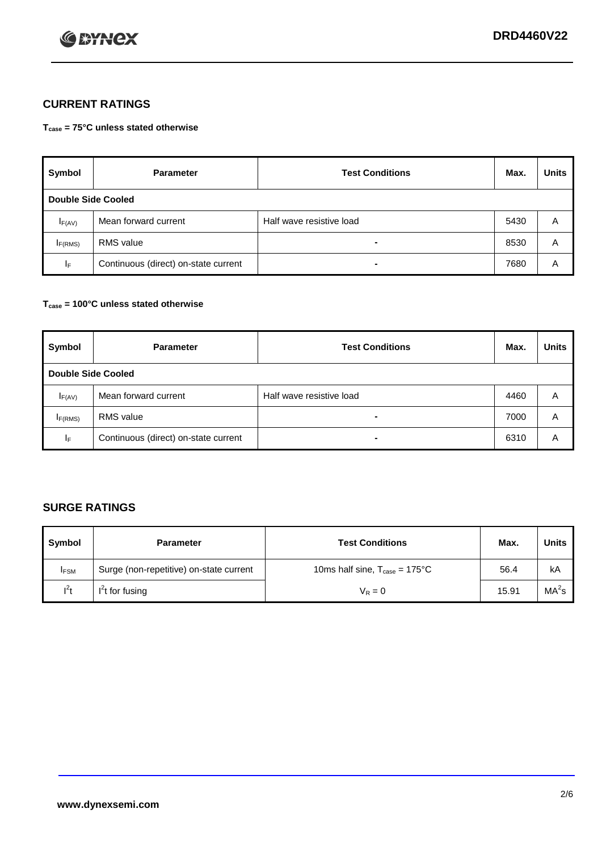

## **CURRENT RATINGS**

**Tcase = 75°C unless stated otherwise**

| Symbol              | <b>Parameter</b>                     | <b>Test Conditions</b>   | Max. | <b>Units</b> |  |  |
|---------------------|--------------------------------------|--------------------------|------|--------------|--|--|
|                     | Double Side Cooled                   |                          |      |              |  |  |
| $I_{F(AV)}$         | Mean forward current                 | Half wave resistive load | 5430 | A            |  |  |
| I <sub>F(RMS)</sub> | <b>RMS</b> value                     | -                        | 8530 | A            |  |  |
| IF.                 | Continuous (direct) on-state current | -                        | 7680 | A            |  |  |

#### **Tcase = 100°C unless stated otherwise**

| Symbol       | <b>Parameter</b>                     | <b>Test Conditions</b>   | Max. | <b>Units</b> |  |
|--------------|--------------------------------------|--------------------------|------|--------------|--|
|              | <b>Double Side Cooled</b>            |                          |      |              |  |
| $I_{F(AV)}$  | Mean forward current                 | Half wave resistive load | 4460 | Α            |  |
| $I_{F(RMS)}$ | <b>RMS</b> value                     | $\overline{\phantom{0}}$ | 7000 | A            |  |
| IF           | Continuous (direct) on-state current | ۰                        | 6310 | A            |  |

## **SURGE RATINGS**

| Symbol      | <b>Parameter</b>                        | <b>Test Conditions</b>                            | Max.  | <b>Units</b>      |
|-------------|-----------------------------------------|---------------------------------------------------|-------|-------------------|
| <b>IFSM</b> | Surge (non-repetitive) on-state current | 10ms half sine, $T_{\text{case}} = 175^{\circ}$ C | 56.4  | kA                |
| $l^2t$      | I <sup>'</sup> t for fusing             | $V_R = 0$                                         | 15.91 | MA <sup>2</sup> s |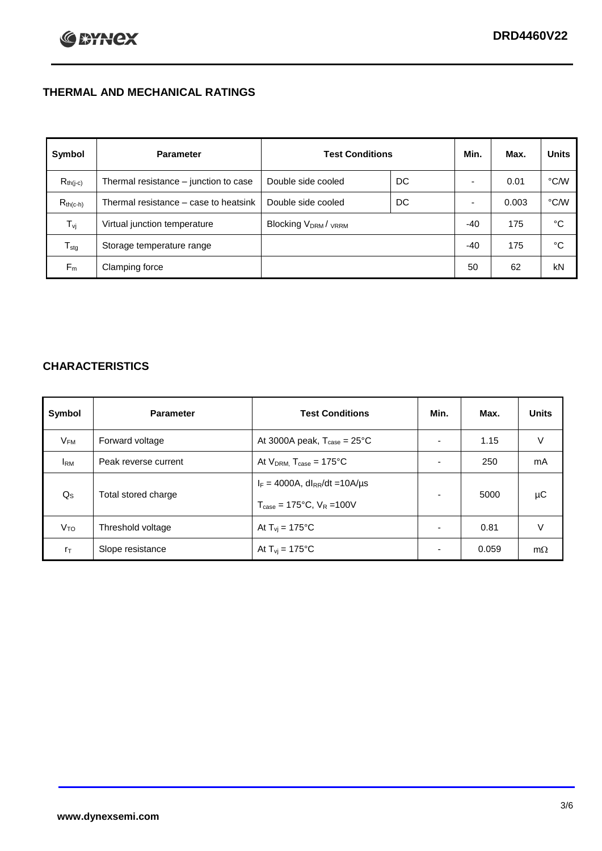## **THERMAL AND MECHANICAL RATINGS**

| Symbol           | <b>Parameter</b>                      | <b>Test Conditions</b>                      |    | Min.  | Max.  | <b>Units</b>  |
|------------------|---------------------------------------|---------------------------------------------|----|-------|-------|---------------|
| $R_{th(j-c)}$    | Thermal resistance - junction to case | Double side cooled                          | DC |       | 0.01  | °C/W          |
| $R_{th(c-h)}$    | Thermal resistance – case to heatsink | Double side cooled                          | DC |       | 0.003 | $\degree$ C/W |
| $T_{\rm vj}$     | Virtual junction temperature          | Blocking V <sub>DRM</sub> / <sub>VRRM</sub> |    | -40   | 175   | °C            |
| $T_{\text{stg}}$ | Storage temperature range             |                                             |    | $-40$ | 175   | °C            |
| $F_m$            | Clamping force                        |                                             |    | 50    | 62    | kN            |

## **CHARACTERISTICS**

| Symbol                         | <b>Parameter</b>     | <b>Test Conditions</b>                          | Min.                     | Max.  | <b>Units</b> |
|--------------------------------|----------------------|-------------------------------------------------|--------------------------|-------|--------------|
| $V_{FM}$                       | Forward voltage      | At 3000A peak, $T_{\text{case}} = 25^{\circ}C$  |                          | 1.15  | V            |
| <b>I</b> <sub>RM</sub>         | Peak reverse current | At $V_{DRM}$ , $T_{case} = 175^{\circ}C$        |                          | 250   | mA           |
| $Q_{S}$<br>Total stored charge |                      | $I_F = 4000A$ , dl <sub>RR</sub> /dt = 10A/us   |                          | 5000  | μC           |
|                                |                      | $T_{\text{case}} = 175^{\circ}C$ , $V_R = 100V$ |                          |       |              |
| V <sub>TO</sub>                | Threshold voltage    | At $T_{vi} = 175^{\circ}C$                      | $\blacksquare$           | 0.81  | V            |
| $r_{\text{T}}$                 | Slope resistance     | At $T_{vi}$ = 175°C                             | $\overline{\phantom{0}}$ | 0.059 | $m\Omega$    |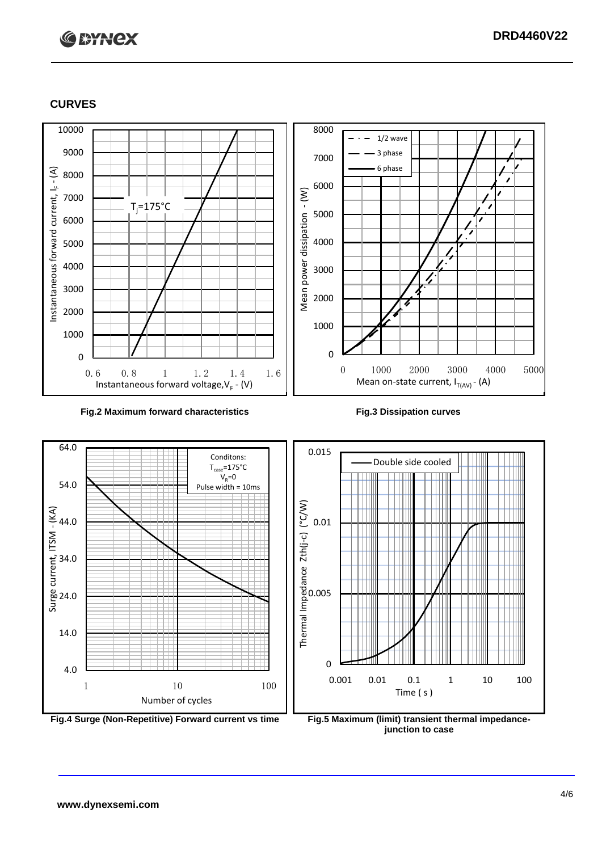

#### **CURVES**



#### **Fig.2 Maximum forward characteristics Fig.3 Dissipation curves**



**junction to case**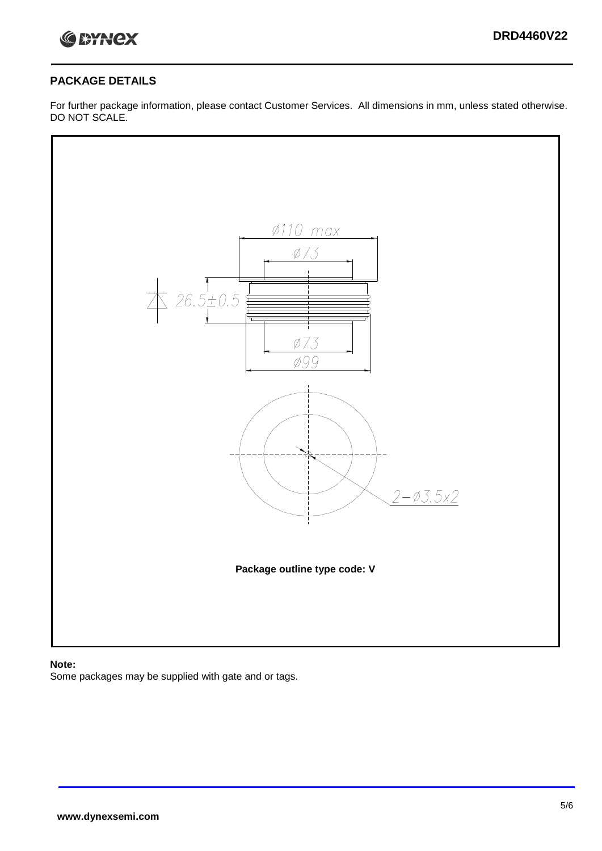

#### **PACKAGE DETAILS**

For further package information, please contact Customer Services. All dimensions in mm, unless stated otherwise. DO NOT SCALE.



#### **Note:**

Some packages may be supplied with gate and or tags.